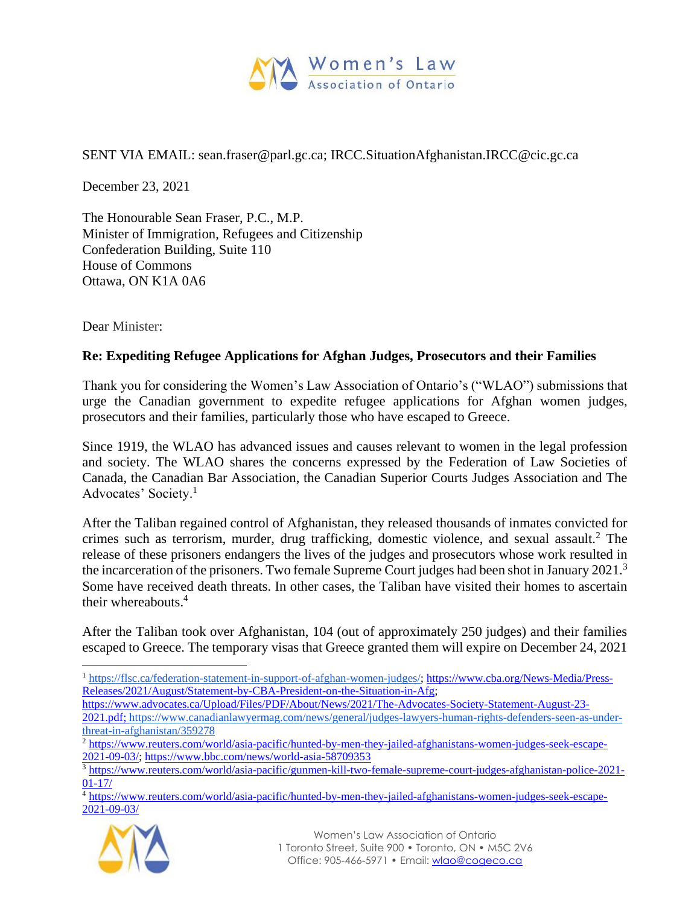

## SENT VIA EMAIL: sean.fraser@parl.gc.ca; IRCC.SituationAfghanistan.IRCC@cic.gc.ca

December 23, 2021

The Honourable Sean Fraser, P.C., M.P. Minister of Immigration, Refugees and Citizenship Confederation Building, Suite 110 House of Commons Ottawa, ON K1A 0A6

Dear Minister:

## **Re: Expediting Refugee Applications for Afghan Judges, Prosecutors and their Families**

Thank you for considering the Women's Law Association of Ontario's ("WLAO") submissions that urge the Canadian government to expedite refugee applications for Afghan women judges, prosecutors and their families, particularly those who have escaped to Greece.

Since 1919, the WLAO has advanced issues and causes relevant to women in the legal profession and society. The WLAO shares the concerns expressed by the Federation of Law Societies of Canada, the Canadian Bar Association, the Canadian Superior Courts Judges Association and The Advocates' Society.<sup>1</sup>

After the Taliban regained control of Afghanistan, they released thousands of inmates convicted for crimes such as terrorism, murder, drug trafficking, domestic violence, and sexual assault.<sup>2</sup> The release of these prisoners endangers the lives of the judges and prosecutors whose work resulted in the incarceration of the prisoners. Two female Supreme Court judges had been shot in January 2021.<sup>3</sup> Some have received death threats. In other cases, the Taliban have visited their homes to ascertain their whereabouts.<sup>4</sup>

After the Taliban took over Afghanistan, 104 (out of approximately 250 judges) and their families escaped to Greece. The temporary visas that Greece granted them will expire on December 24, 2021

<sup>4</sup> [https://www.reuters.com/world/asia-pacific/hunted-by-men-they-jailed-afghanistans-women-judges-seek-escape-](about:blank)[2021-09-03/](about:blank) 



 $\overline{a}$ <sup>1</sup> [https://flsc.ca/federation-statement-in-support-of-afghan-women-judges/;](about:blank) [https://www.cba.org/News-Media/Press-](https://www.cba.org/News-Media/Press-Releases/2021/August/Statement-by-CBA-President-on-the-Situation-in-Afg)[Releases/2021/August/Statement-by-CBA-President-on-the-Situation-in-Afg;](https://www.cba.org/News-Media/Press-Releases/2021/August/Statement-by-CBA-President-on-the-Situation-in-Afg)

[https://www.advocates.ca/Upload/Files/PDF/About/News/2021/The-Advocates-Society-Statement-August-23-](about:blank)

[<sup>2021.</sup>pdf; https://www.canadianlawyermag.com/news/general/judges-lawyers-human-rights-defenders-seen-as-under](about:blank)[threat-in-afghanistan/359278](about:blank)

<sup>2</sup> [https://www.reuters.com/world/asia-pacific/hunted-by-men-they-jailed-afghanistans-women-judges-seek-escape-](about:blank)[2021-09-03/; https://www.bbc.com/news/world-asia-58709353](about:blank) 

<sup>&</sup>lt;sup>3</sup> [https://www.reuters.com/world/asia-pacific/gunmen-kill-two-female-supreme-court-judges-afghanistan-police-2021-](about:blank) [01-17/](about:blank)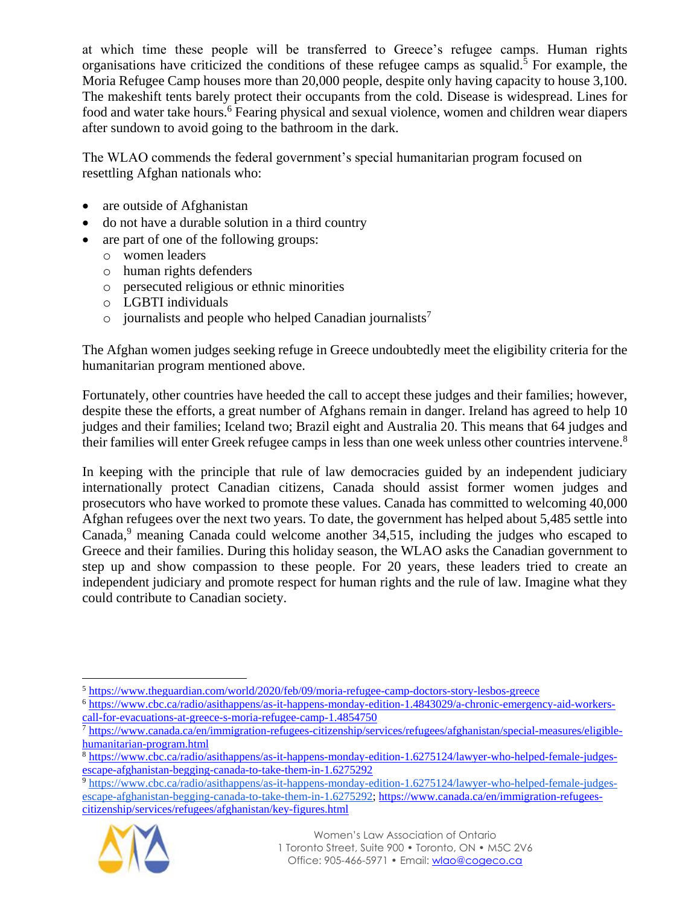at which time these people will be transferred to Greece's refugee camps. Human rights organisations have criticized the conditions of these refugee camps as squalid.<sup>5</sup> For example, the Moria Refugee Camp houses more than 20,000 people, despite only having capacity to house 3,100. The makeshift tents barely protect their occupants from the cold. Disease is widespread. Lines for food and water take hours.<sup>6</sup> Fearing physical and sexual violence, women and children wear diapers after sundown to avoid going to the bathroom in the dark.

The WLAO commends the federal government's special humanitarian program focused on resettling Afghan nationals who:

- are outside of Afghanistan
- do not have a durable solution in a third country
- are part of one of the following groups:
	- o women leaders
	- o human rights defenders
	- o persecuted religious or ethnic minorities
	- o LGBTI individuals
	- $\circ$  journalists and people who helped Canadian journalists<sup>7</sup>

The Afghan women judges seeking refuge in Greece undoubtedly meet the eligibility criteria for the humanitarian program mentioned above.

Fortunately, other countries have heeded the call to accept these judges and their families; however, despite these the efforts, a great number of Afghans remain in danger. Ireland has agreed to help 10 judges and their families; Iceland two; Brazil eight and Australia 20. This means that 64 judges and their families will enter Greek refugee camps in less than one week unless other countries intervene.<sup>8</sup>

In keeping with the principle that rule of law democracies guided by an independent judiciary internationally protect Canadian citizens, Canada should assist former women judges and prosecutors who have worked to promote these values. Canada has committed to welcoming 40,000 Afghan refugees over the next two years. To date, the government has helped about 5,485 settle into Canada,<sup>9</sup> meaning Canada could welcome another 34,515, including the judges who escaped to Greece and their families. During this holiday season, the WLAO asks the Canadian government to step up and show compassion to these people. For 20 years, these leaders tried to create an independent judiciary and promote respect for human rights and the rule of law. Imagine what they could contribute to Canadian society.

<sup>9</sup> [https://www.cbc.ca/radio/asithappens/as-it-happens-monday-edition-1.6275124/lawyer-who-helped-female-judges](about:blank)[escape-afghanistan-begging-canada-to-take-them-in-1.6275292; https://www.canada.ca/en/immigration-refugees](about:blank)[citizenship/services/refugees/afghanistan/key-figures.html](about:blank)



 $\overline{a}$ <sup>5</sup> [https://www.theguardian.com/world/2020/feb/09/moria-refugee-camp-doctors-story-lesbos-greece](about:blank)

<sup>6</sup> [https://www.cbc.ca/radio/asithappens/as-it-happens-monday-edition-1.4843029/a-chronic-emergency-aid-workers](about:blank)[call-for-evacuations-at-greece-s-moria-refugee-camp-1.4854750](about:blank)

<sup>&</sup>lt;sup>7</sup> [https://www.canada.ca/en/immigration-refugees-citizenship/services/refugees/afghanistan/special-measures/eligible](about:blank)[humanitarian-program.html](about:blank)

<sup>&</sup>lt;sup>8</sup> [https://www.cbc.ca/radio/asithappens/as-it-happens-monday-edition-1.6275124/lawyer-who-helped-female-judges](about:blank)[escape-afghanistan-begging-canada-to-take-them-in-1.6275292](about:blank)